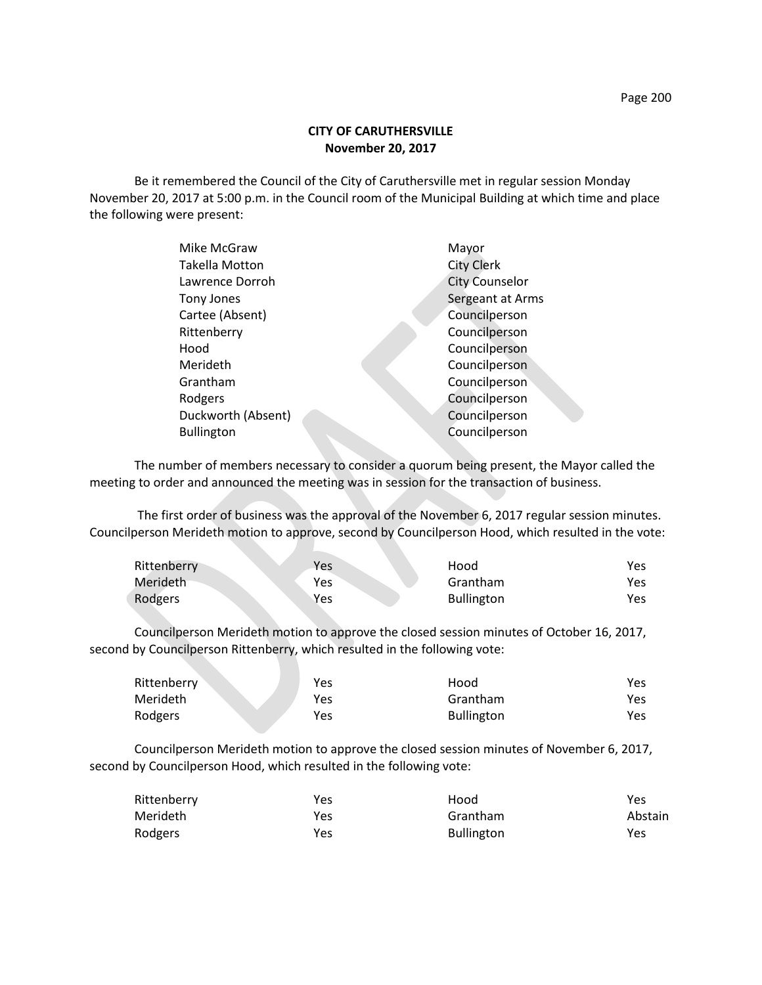## **CITY OF CARUTHERSVILLE November 20, 2017**

Be it remembered the Council of the City of Caruthersville met in regular session Monday November 20, 2017 at 5:00 p.m. in the Council room of the Municipal Building at which time and place the following were present:

| Mike McGraw        | Mayor                 |
|--------------------|-----------------------|
| Takella Motton     | <b>City Clerk</b>     |
| Lawrence Dorroh    | <b>City Counselor</b> |
| Tony Jones         | Sergeant at Arms      |
| Cartee (Absent)    | Councilperson         |
| Rittenberry        | Councilperson         |
| Hood               | Councilperson         |
| Merideth           | Councilperson         |
| Grantham           | Councilperson         |
| Rodgers            | Councilperson         |
| Duckworth (Absent) | Councilperson         |
| <b>Bullington</b>  | Councilperson         |
|                    |                       |

The number of members necessary to consider a quorum being present, the Mayor called the meeting to order and announced the meeting was in session for the transaction of business.

The first order of business was the approval of the November 6, 2017 regular session minutes. Councilperson Merideth motion to approve, second by Councilperson Hood, which resulted in the vote:

| Rittenberry | Yes | Hood              | Yes. |
|-------------|-----|-------------------|------|
| Merideth    | Yes | Grantham          | Yes  |
| Rodgers     | Yes | <b>Bullington</b> | Yes  |

Councilperson Merideth motion to approve the closed session minutes of October 16, 2017, second by Councilperson Rittenberry, which resulted in the following vote:

| Rittenberry | Yes | Hood              | Yes |
|-------------|-----|-------------------|-----|
| Merideth    | Yes | Grantham          | Yes |
| Rodgers     | Yes | <b>Bullington</b> | Yes |

Councilperson Merideth motion to approve the closed session minutes of November 6, 2017, second by Councilperson Hood, which resulted in the following vote:

| Rittenberry | Yes | Hood              | Yes     |
|-------------|-----|-------------------|---------|
| Merideth    | Yes | Grantham          | Abstain |
| Rodgers     | Yes | <b>Bullington</b> | Yes     |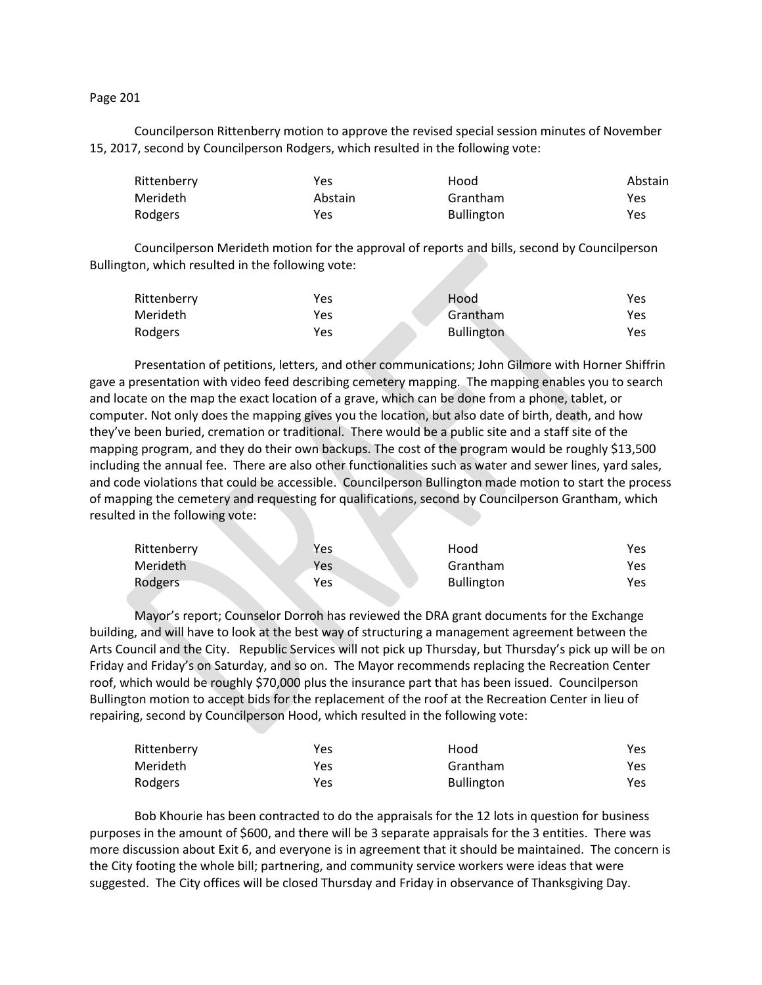## Page 201

Councilperson Rittenberry motion to approve the revised special session minutes of November 15, 2017, second by Councilperson Rodgers, which resulted in the following vote:

| Rittenberry | Yes     | Hood              | Abstain |
|-------------|---------|-------------------|---------|
| Merideth    | Abstain | Grantham          | Yes     |
| Rodgers     | Yes     | <b>Bullington</b> | Yes     |

Councilperson Merideth motion for the approval of reports and bills, second by Councilperson Bullington, which resulted in the following vote:

| Rittenberry | Yes | Hood              | Yes |
|-------------|-----|-------------------|-----|
| Merideth    | Yes | Grantham          | Yes |
| Rodgers     | Yes | <b>Bullington</b> | Yes |

Presentation of petitions, letters, and other communications; John Gilmore with Horner Shiffrin gave a presentation with video feed describing cemetery mapping. The mapping enables you to search and locate on the map the exact location of a grave, which can be done from a phone, tablet, or computer. Not only does the mapping gives you the location, but also date of birth, death, and how they've been buried, cremation or traditional. There would be a public site and a staff site of the mapping program, and they do their own backups. The cost of the program would be roughly \$13,500 including the annual fee. There are also other functionalities such as water and sewer lines, yard sales, and code violations that could be accessible. Councilperson Bullington made motion to start the process of mapping the cemetery and requesting for qualifications, second by Councilperson Grantham, which resulted in the following vote:

| Rittenberry | Yes | Hood              | Yes |
|-------------|-----|-------------------|-----|
| Merideth    | Yes | Grantham          | Yes |
| Rodgers     | Yes | <b>Bullington</b> | Yes |

Mayor's report; Counselor Dorroh has reviewed the DRA grant documents for the Exchange building, and will have to look at the best way of structuring a management agreement between the Arts Council and the City. Republic Services will not pick up Thursday, but Thursday's pick up will be on Friday and Friday's on Saturday, and so on. The Mayor recommends replacing the Recreation Center roof, which would be roughly \$70,000 plus the insurance part that has been issued. Councilperson Bullington motion to accept bids for the replacement of the roof at the Recreation Center in lieu of repairing, second by Councilperson Hood, which resulted in the following vote:

| Rittenberry | Yes | Hood              | Yes. |
|-------------|-----|-------------------|------|
| Merideth    | Yes | Grantham          | Yes. |
| Rodgers     | Yes | <b>Bullington</b> | Yes. |

Bob Khourie has been contracted to do the appraisals for the 12 lots in question for business purposes in the amount of \$600, and there will be 3 separate appraisals for the 3 entities. There was more discussion about Exit 6, and everyone is in agreement that it should be maintained. The concern is the City footing the whole bill; partnering, and community service workers were ideas that were suggested. The City offices will be closed Thursday and Friday in observance of Thanksgiving Day.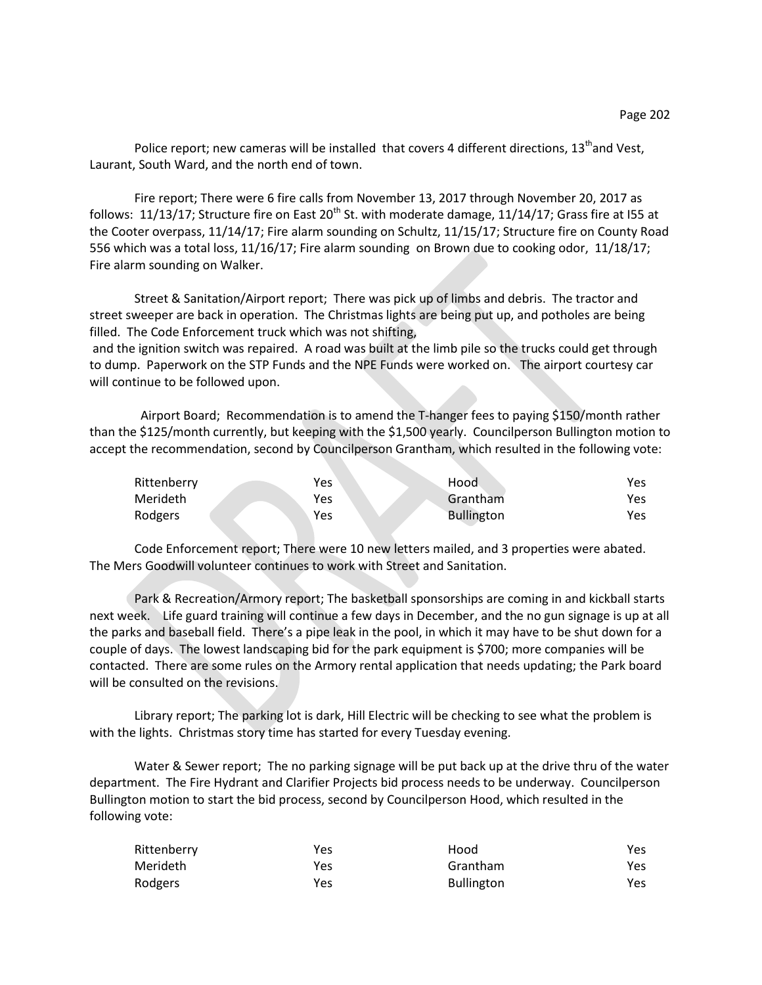Police report; new cameras will be installed that covers 4 different directions,  $13<sup>th</sup>$  and Vest, Laurant, South Ward, and the north end of town.

Fire report; There were 6 fire calls from November 13, 2017 through November 20, 2017 as follows: 11/13/17; Structure fire on East 20<sup>th</sup> St. with moderate damage, 11/14/17; Grass fire at I55 at the Cooter overpass, 11/14/17; Fire alarm sounding on Schultz, 11/15/17; Structure fire on County Road 556 which was a total loss, 11/16/17; Fire alarm sounding on Brown due to cooking odor, 11/18/17; Fire alarm sounding on Walker.

Street & Sanitation/Airport report; There was pick up of limbs and debris. The tractor and street sweeper are back in operation. The Christmas lights are being put up, and potholes are being filled. The Code Enforcement truck which was not shifting,

and the ignition switch was repaired. A road was built at the limb pile so the trucks could get through to dump. Paperwork on the STP Funds and the NPE Funds were worked on. The airport courtesy car will continue to be followed upon.

 Airport Board; Recommendation is to amend the T-hanger fees to paying \$150/month rather than the \$125/month currently, but keeping with the \$1,500 yearly. Councilperson Bullington motion to accept the recommendation, second by Councilperson Grantham, which resulted in the following vote:

| Rittenberry     | Yes | Hood              | Yes |
|-----------------|-----|-------------------|-----|
| <b>Merideth</b> | Yes | Grantham          | Yes |
| Rodgers         | Yes | <b>Bullington</b> | Yes |

Code Enforcement report; There were 10 new letters mailed, and 3 properties were abated. The Mers Goodwill volunteer continues to work with Street and Sanitation.

Park & Recreation/Armory report; The basketball sponsorships are coming in and kickball starts next week. Life guard training will continue a few days in December, and the no gun signage is up at all the parks and baseball field. There's a pipe leak in the pool, in which it may have to be shut down for a couple of days. The lowest landscaping bid for the park equipment is \$700; more companies will be contacted. There are some rules on the Armory rental application that needs updating; the Park board will be consulted on the revisions.

Library report; The parking lot is dark, Hill Electric will be checking to see what the problem is with the lights. Christmas story time has started for every Tuesday evening.

Water & Sewer report; The no parking signage will be put back up at the drive thru of the water department. The Fire Hydrant and Clarifier Projects bid process needs to be underway. Councilperson Bullington motion to start the bid process, second by Councilperson Hood, which resulted in the following vote:

| Rittenberry | Yes | Hood              | Yes |
|-------------|-----|-------------------|-----|
| Merideth    | Yes | Grantham          | Yes |
| Rodgers     | Yes | <b>Bullington</b> | Yes |